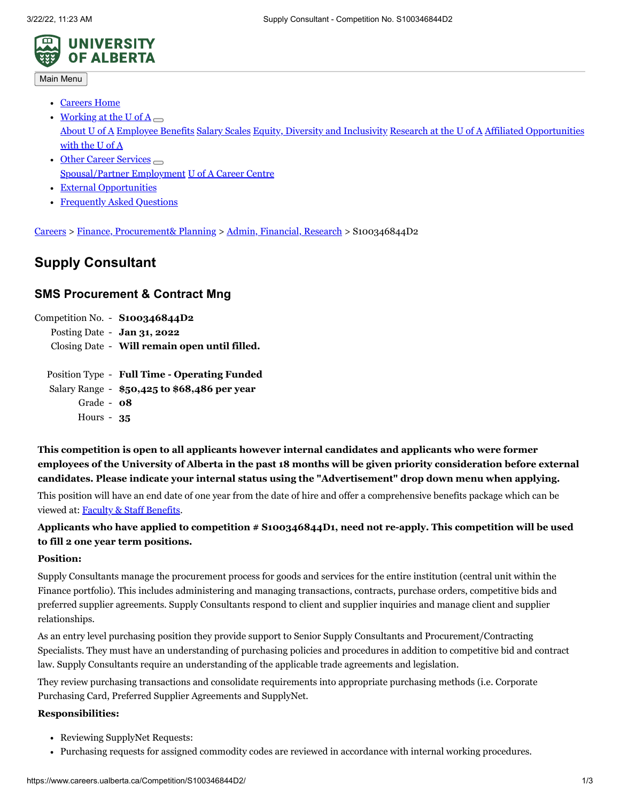

Main Menu

- [Careers](https://www.careers.ualberta.ca/Index.aspx) Home
- Working at the U of A [About](https://www.ualberta.ca/about) U of A [Employee](https://www.ualberta.ca/faculty-and-staff/employee-benefits) Benefits [Salary](https://www.ualberta.ca/faculty-and-staff/pay-tax-information/salary-scales) Scales Equity, Diversity and [Inclusivity](https://www.ualberta.ca/equity-diversity-inclusivity) [Research](http://www.research.ualberta.ca/) at the U of A Affiliated [Opportunities](https://www.careers.ualberta.ca/Affiliated.aspx) with the U of A
- Other Career Services [Spousal/Partner](https://www.ualberta.ca/career-centre/programs-services/spep.html) Employment U of A [Career](http://www.caps.ualberta.ca/) Centre
- External [Opportunities](https://www.careers.ualberta.ca/ExtOpp.aspx)
- [Frequently](https://www.careers.ualberta.ca/FAQ.aspx) Asked Questions

[Careers](https://www.careers.ualberta.ca/index.aspx) > Finance, [Procurement&](http://www.careers.ualberta.ca/) Planning > Admin, [Financial,](http://www.careers.ualberta.ca/Administrative/) Research > S100346844D2

# **Supply Consultant**

## **SMS Procurement & Contract Mng**

|                                               | Competition No. $-$ <b>S100346844D2</b> |
|-----------------------------------------------|-----------------------------------------|
|                                               | Posting Date - $Jan 31, 2022$           |
| Closing Date - Will remain open until filled. |                                         |
|                                               |                                         |
| Position Type - Full Time - Operating Funded  |                                         |

Salary Range - **\$50,425 to \$68,486 per year** Grade - **08** Hours - **35**

**This competition is open to all applicants however internal candidates and applicants who were former** employees of the University of Alberta in the past 18 months will be given priority consideration before external **candidates. Please indicate your internal status using the "Advertisement" drop down menu when applying.**

This position will have an end date of one year from the date of hire and offer a comprehensive benefits package which can be viewed at: Faculty & Staff [Benefits](https://www.ualberta.ca/faculty-and-staff).

**Applicants who have applied to competition # S100346844D1, need not re-apply. This competition will be used to fill 2 one year term positions.**

#### **Position:**

Supply Consultants manage the procurement process for goods and services for the entire institution (central unit within the Finance portfolio). This includes administering and managing transactions, contracts, purchase orders, competitive bids and preferred supplier agreements. Supply Consultants respond to client and supplier inquiries and manage client and supplier relationships.

As an entry level purchasing position they provide support to Senior Supply Consultants and Procurement/Contracting Specialists. They must have an understanding of purchasing policies and procedures in addition to competitive bid and contract law. Supply Consultants require an understanding of the applicable trade agreements and legislation.

They review purchasing transactions and consolidate requirements into appropriate purchasing methods (i.e. Corporate Purchasing Card, Preferred Supplier Agreements and SupplyNet.

#### **Responsibilities:**

- Reviewing SupplyNet Requests:
- Purchasing requests for assigned commodity codes are reviewed in accordance with internal working procedures.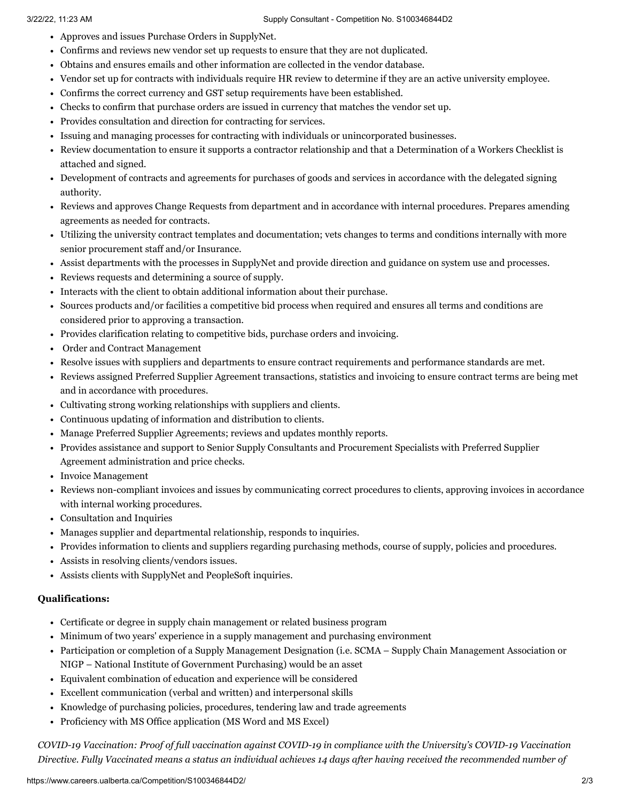- Approves and issues Purchase Orders in SupplyNet.
- Confirms and reviews new vendor set up requests to ensure that they are not duplicated.
- Obtains and ensures emails and other information are collected in the vendor database.
- Vendor set up for contracts with individuals require HR review to determine if they are an active university employee.
- Confirms the correct currency and GST setup requirements have been established.
- Checks to confirm that purchase orders are issued in currency that matches the vendor set up.
- Provides consultation and direction for contracting for services.
- Issuing and managing processes for contracting with individuals or unincorporated businesses.
- Review documentation to ensure it supports a contractor relationship and that a Determination of a Workers Checklist is attached and signed.
- Development of contracts and agreements for purchases of goods and services in accordance with the delegated signing authority.
- Reviews and approves Change Requests from department and in accordance with internal procedures. Prepares amending agreements as needed for contracts.
- Utilizing the university contract templates and documentation; vets changes to terms and conditions internally with more senior procurement staff and/or Insurance.
- Assist departments with the processes in SupplyNet and provide direction and guidance on system use and processes.
- Reviews requests and determining a source of supply.
- Interacts with the client to obtain additional information about their purchase.
- Sources products and/or facilities a competitive bid process when required and ensures all terms and conditions are considered prior to approving a transaction.
- Provides clarification relating to competitive bids, purchase orders and invoicing.
- Order and Contract Management
- Resolve issues with suppliers and departments to ensure contract requirements and performance standards are met.
- Reviews assigned Preferred Supplier Agreement transactions, statistics and invoicing to ensure contract terms are being met and in accordance with procedures.
- Cultivating strong working relationships with suppliers and clients.
- Continuous updating of information and distribution to clients.
- Manage Preferred Supplier Agreements; reviews and updates monthly reports.
- Provides assistance and support to Senior Supply Consultants and Procurement Specialists with Preferred Supplier Agreement administration and price checks.
- Invoice Management
- Reviews non-compliant invoices and issues by communicating correct procedures to clients, approving invoices in accordance with internal working procedures.
- Consultation and Inquiries
- Manages supplier and departmental relationship, responds to inquiries.
- Provides information to clients and suppliers regarding purchasing methods, course of supply, policies and procedures.
- Assists in resolving clients/vendors issues.
- Assists clients with SupplyNet and PeopleSoft inquiries.

#### **Qualifications:**

- Certificate or degree in supply chain management or related business program
- Minimum of two years' experience in a supply management and purchasing environment
- Participation or completion of a Supply Management Designation (i.e. SCMA Supply Chain Management Association or NIGP – National Institute of Government Purchasing) would be an asset
- Equivalent combination of education and experience will be considered
- Excellent communication (verbal and written) and interpersonal skills
- Knowledge of purchasing policies, procedures, tendering law and trade agreements
- Proficiency with MS Office application (MS Word and MS Excel)

COVID-19 Vaccination: Proof of full vaccination against COVID-19 in compliance with the University's COVID-19 Vaccination Directive. Fully Vaccinated means a status an individual achieves 14 days after having received the recommended number of